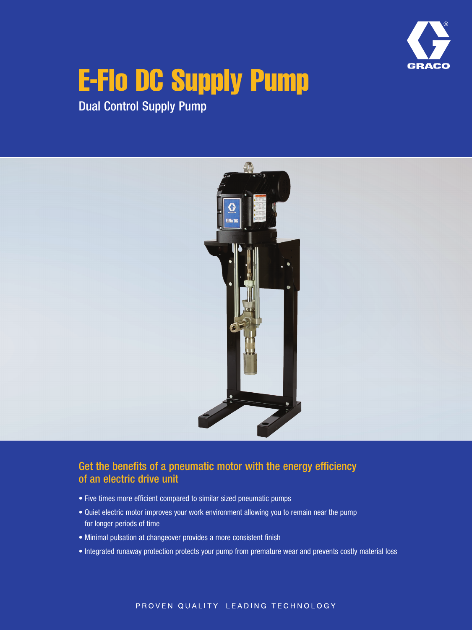

# E-Flo DC Supply Pump

Dual Control Supply Pump



#### Get the benefits of a pneumatic motor with the energy efficiency of an electric drive unit

- Five times more efficient compared to similar sized pneumatic pumps
- Quiet electric motor improves your work environment allowing you to remain near the pump for longer periods of time
- Minimal pulsation at changeover provides a more consistent finish
- Integrated runaway protection protects your pump from premature wear and prevents costly material loss

#### PROVEN QUALITY. LEADING TECHNOLOGY.